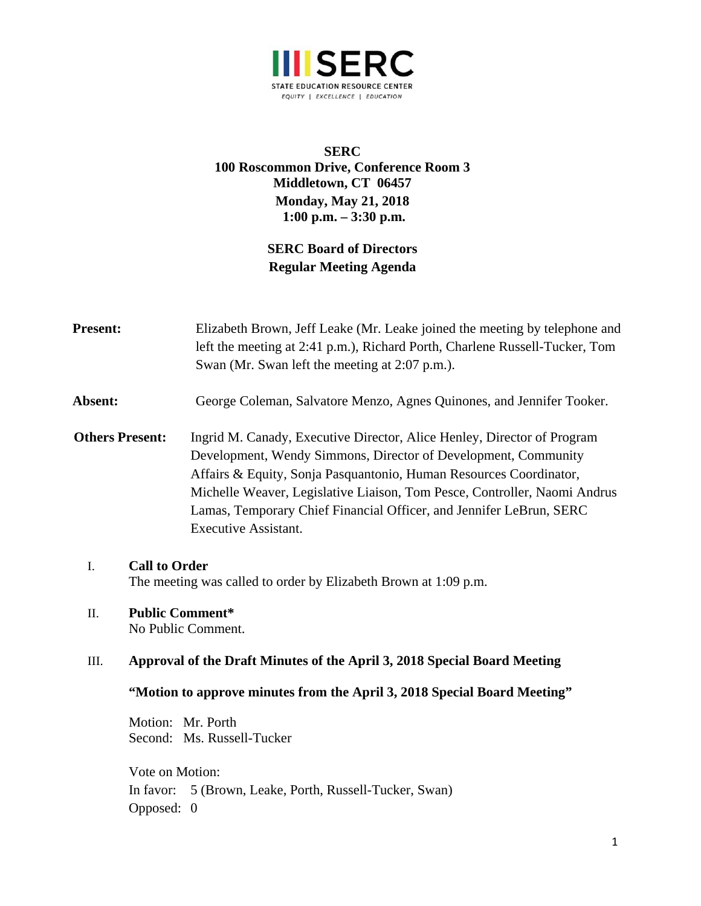

## **SERC 100 Roscommon Drive, Conference Room 3 Middletown, CT 06457 Monday, May 21, 2018 1:00 p.m. – 3:30 p.m.**

# **SERC Board of Directors Regular Meeting Agenda**

| <b>Present:</b>        |                                                                                                                                                      | Elizabeth Brown, Jeff Leake (Mr. Leake joined the meeting by telephone and<br>left the meeting at 2:41 p.m.), Richard Porth, Charlene Russell-Tucker, Tom<br>Swan (Mr. Swan left the meeting at 2:07 p.m.).                                                                                                                                                                                        |
|------------------------|------------------------------------------------------------------------------------------------------------------------------------------------------|----------------------------------------------------------------------------------------------------------------------------------------------------------------------------------------------------------------------------------------------------------------------------------------------------------------------------------------------------------------------------------------------------|
| Absent:                |                                                                                                                                                      | George Coleman, Salvatore Menzo, Agnes Quinones, and Jennifer Tooker.                                                                                                                                                                                                                                                                                                                              |
| <b>Others Present:</b> |                                                                                                                                                      | Ingrid M. Canady, Executive Director, Alice Henley, Director of Program<br>Development, Wendy Simmons, Director of Development, Community<br>Affairs & Equity, Sonja Pasquantonio, Human Resources Coordinator,<br>Michelle Weaver, Legislative Liaison, Tom Pesce, Controller, Naomi Andrus<br>Lamas, Temporary Chief Financial Officer, and Jennifer LeBrun, SERC<br><b>Executive Assistant.</b> |
| I.                     | <b>Call to Order</b><br>The meeting was called to order by Elizabeth Brown at 1:09 p.m.                                                              |                                                                                                                                                                                                                                                                                                                                                                                                    |
| Π.                     | <b>Public Comment*</b><br>No Public Comment.                                                                                                         |                                                                                                                                                                                                                                                                                                                                                                                                    |
| III.                   | Approval of the Draft Minutes of the April 3, 2018 Special Board Meeting<br>"Motion to approve minutes from the April 3, 2018 Special Board Meeting" |                                                                                                                                                                                                                                                                                                                                                                                                    |
|                        |                                                                                                                                                      |                                                                                                                                                                                                                                                                                                                                                                                                    |
|                        | Motion: Mr. Porth                                                                                                                                    | Second: Ms. Russell-Tucker                                                                                                                                                                                                                                                                                                                                                                         |
|                        | Vote on Motion:<br>In favor:<br>Opposed: 0                                                                                                           | 5 (Brown, Leake, Porth, Russell-Tucker, Swan)                                                                                                                                                                                                                                                                                                                                                      |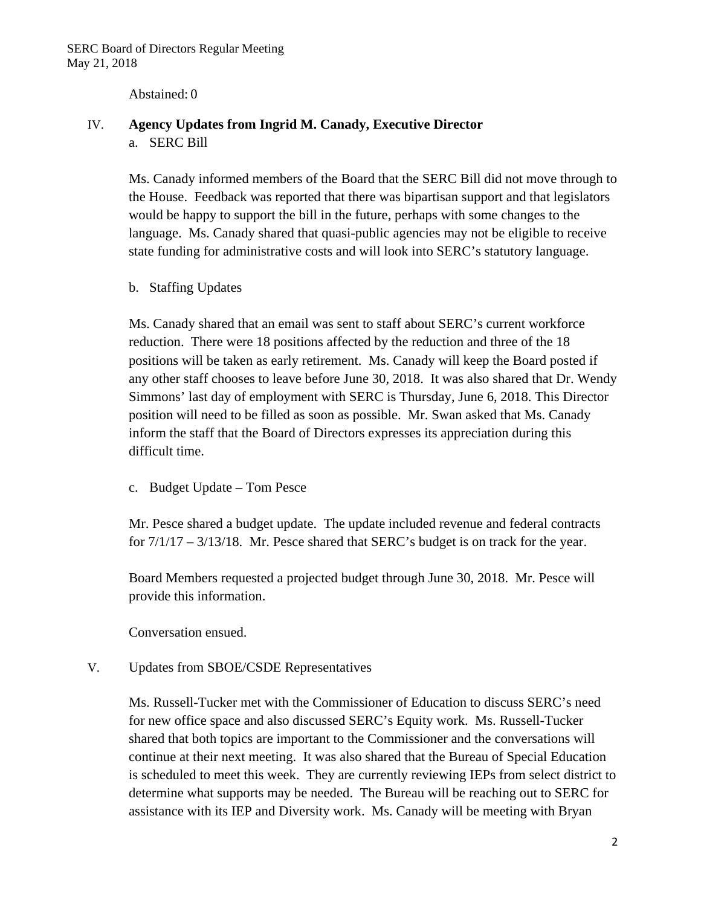Abstained: 0

### IV. **Agency Updates from Ingrid M. Canady, Executive Director**  a. SERC Bill

Ms. Canady informed members of the Board that the SERC Bill did not move through to the House. Feedback was reported that there was bipartisan support and that legislators would be happy to support the bill in the future, perhaps with some changes to the language. Ms. Canady shared that quasi-public agencies may not be eligible to receive state funding for administrative costs and will look into SERC's statutory language.

b. Staffing Updates

Ms. Canady shared that an email was sent to staff about SERC's current workforce reduction. There were 18 positions affected by the reduction and three of the 18 positions will be taken as early retirement. Ms. Canady will keep the Board posted if any other staff chooses to leave before June 30, 2018. It was also shared that Dr. Wendy Simmons' last day of employment with SERC is Thursday, June 6, 2018. This Director position will need to be filled as soon as possible. Mr. Swan asked that Ms. Canady inform the staff that the Board of Directors expresses its appreciation during this difficult time.

c. Budget Update – Tom Pesce

Mr. Pesce shared a budget update. The update included revenue and federal contracts for 7/1/17 – 3/13/18. Mr. Pesce shared that SERC's budget is on track for the year.

Board Members requested a projected budget through June 30, 2018. Mr. Pesce will provide this information.

Conversation ensued.

V. Updates from SBOE/CSDE Representatives

Ms. Russell-Tucker met with the Commissioner of Education to discuss SERC's need for new office space and also discussed SERC's Equity work. Ms. Russell-Tucker shared that both topics are important to the Commissioner and the conversations will continue at their next meeting. It was also shared that the Bureau of Special Education is scheduled to meet this week. They are currently reviewing IEPs from select district to determine what supports may be needed. The Bureau will be reaching out to SERC for assistance with its IEP and Diversity work. Ms. Canady will be meeting with Bryan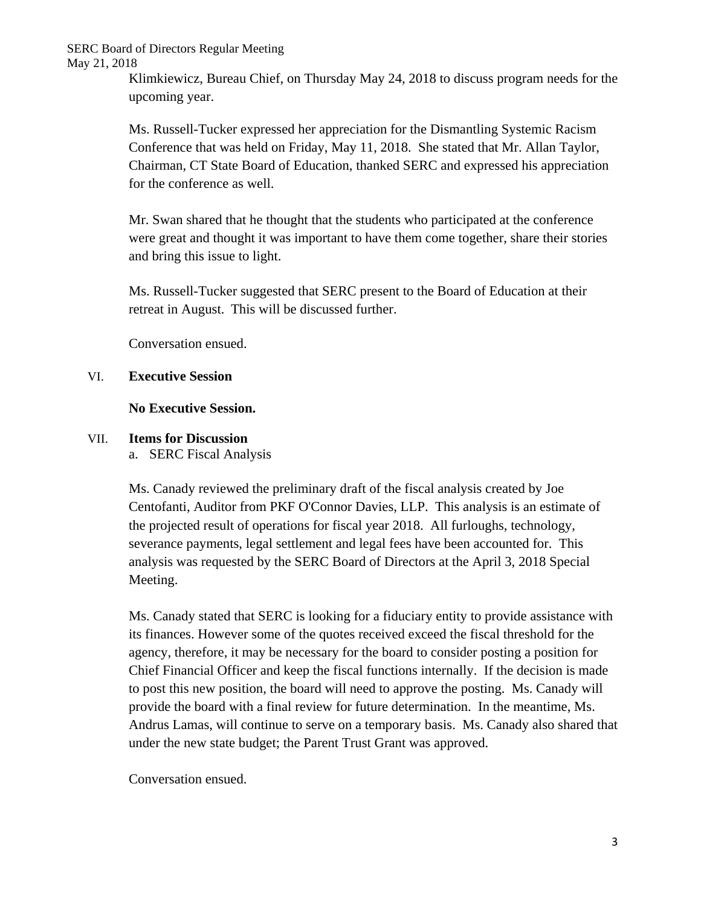SERC Board of Directors Regular Meeting May 21, 2018

> Klimkiewicz, Bureau Chief, on Thursday May 24, 2018 to discuss program needs for the upcoming year.

Ms. Russell-Tucker expressed her appreciation for the Dismantling Systemic Racism Conference that was held on Friday, May 11, 2018. She stated that Mr. Allan Taylor, Chairman, CT State Board of Education, thanked SERC and expressed his appreciation for the conference as well.

Mr. Swan shared that he thought that the students who participated at the conference were great and thought it was important to have them come together, share their stories and bring this issue to light.

Ms. Russell-Tucker suggested that SERC present to the Board of Education at their retreat in August. This will be discussed further.

Conversation ensued.

### VI. **Executive Session**

### **No Executive Session.**

### VII. **Items for Discussion**

a. SERC Fiscal Analysis

Ms. Canady reviewed the preliminary draft of the fiscal analysis created by Joe Centofanti, Auditor from PKF O'Connor Davies, LLP. This analysis is an estimate of the projected result of operations for fiscal year 2018. All furloughs, technology, severance payments, legal settlement and legal fees have been accounted for. This analysis was requested by the SERC Board of Directors at the April 3, 2018 Special Meeting.

Ms. Canady stated that SERC is looking for a fiduciary entity to provide assistance with its finances. However some of the quotes received exceed the fiscal threshold for the agency, therefore, it may be necessary for the board to consider posting a position for Chief Financial Officer and keep the fiscal functions internally. If the decision is made to post this new position, the board will need to approve the posting. Ms. Canady will provide the board with a final review for future determination. In the meantime, Ms. Andrus Lamas, will continue to serve on a temporary basis. Ms. Canady also shared that under the new state budget; the Parent Trust Grant was approved.

Conversation ensued.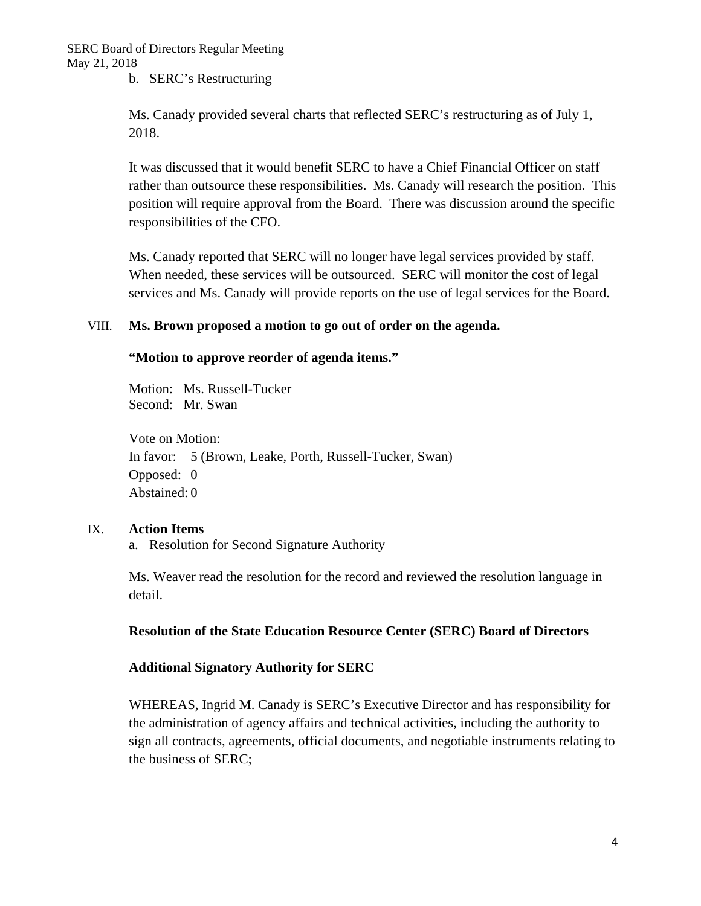b. SERC's Restructuring

Ms. Canady provided several charts that reflected SERC's restructuring as of July 1, 2018.

It was discussed that it would benefit SERC to have a Chief Financial Officer on staff rather than outsource these responsibilities. Ms. Canady will research the position. This position will require approval from the Board. There was discussion around the specific responsibilities of the CFO.

Ms. Canady reported that SERC will no longer have legal services provided by staff. When needed, these services will be outsourced. SERC will monitor the cost of legal services and Ms. Canady will provide reports on the use of legal services for the Board.

#### VIII. **Ms. Brown proposed a motion to go out of order on the agenda.**

#### **"Motion to approve reorder of agenda items."**

Motion: Ms. Russell-Tucker Second: Mr. Swan

Vote on Motion: In favor: 5 (Brown, Leake, Porth, Russell-Tucker, Swan) Opposed: 0 Abstained: 0

#### IX. **Action Items**

a. Resolution for Second Signature Authority

Ms. Weaver read the resolution for the record and reviewed the resolution language in detail.

#### **Resolution of the State Education Resource Center (SERC) Board of Directors**

#### **Additional Signatory Authority for SERC**

WHEREAS, Ingrid M. Canady is SERC's Executive Director and has responsibility for the administration of agency affairs and technical activities, including the authority to sign all contracts, agreements, official documents, and negotiable instruments relating to the business of SERC;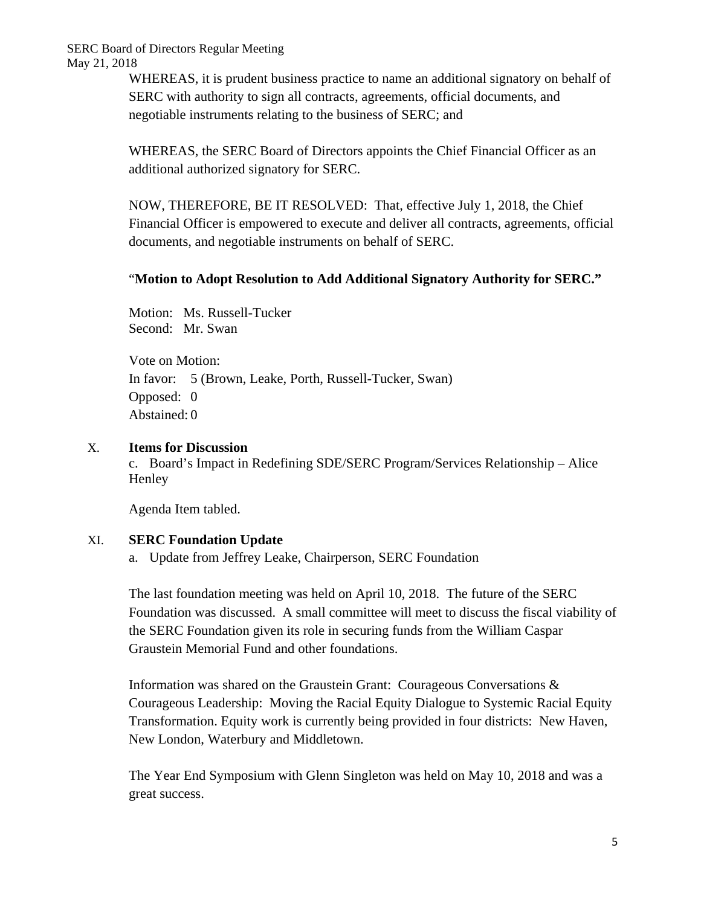SERC Board of Directors Regular Meeting May 21, 2018

> WHEREAS, it is prudent business practice to name an additional signatory on behalf of SERC with authority to sign all contracts, agreements, official documents, and negotiable instruments relating to the business of SERC; and

WHEREAS, the SERC Board of Directors appoints the Chief Financial Officer as an additional authorized signatory for SERC.

NOW, THEREFORE, BE IT RESOLVED: That, effective July 1, 2018, the Chief Financial Officer is empowered to execute and deliver all contracts, agreements, official documents, and negotiable instruments on behalf of SERC.

### "**Motion to Adopt Resolution to Add Additional Signatory Authority for SERC."**

Motion: Ms. Russell-Tucker Second: Mr. Swan

Vote on Motion: In favor: 5 (Brown, Leake, Porth, Russell-Tucker, Swan) Opposed: 0 Abstained: 0

#### X. **Items for Discussion**

c. Board's Impact in Redefining SDE/SERC Program/Services Relationship – Alice **Henley** 

Agenda Item tabled.

#### XI. **SERC Foundation Update**

a. Update from Jeffrey Leake, Chairperson, SERC Foundation

The last foundation meeting was held on April 10, 2018. The future of the SERC Foundation was discussed. A small committee will meet to discuss the fiscal viability of the SERC Foundation given its role in securing funds from the William Caspar Graustein Memorial Fund and other foundations.

Information was shared on the Graustein Grant: Courageous Conversations & Courageous Leadership: Moving the Racial Equity Dialogue to Systemic Racial Equity Transformation. Equity work is currently being provided in four districts: New Haven, New London, Waterbury and Middletown.

The Year End Symposium with Glenn Singleton was held on May 10, 2018 and was a great success.